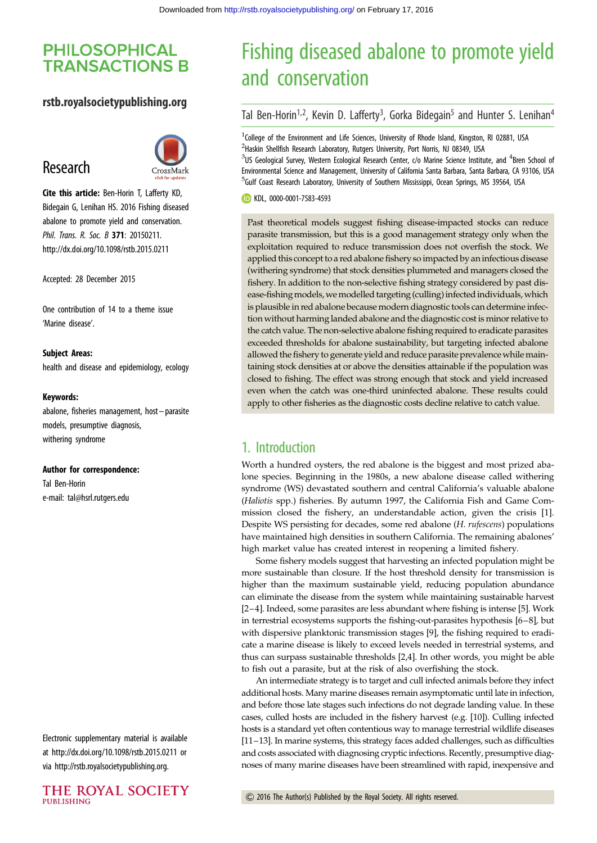# **PHILOSOPHICAL TRANSACTIONS B**

### rstb.royalsocietypublishing.org

# Research



Cite this article: Ben-Horin T, Lafferty KD, Bidegain G, Lenihan HS. 2016 Fishing diseased abalone to promote yield and conservation. Phil. Trans. R. Soc. B 371: 20150211. http://dx.doi.org/10.1098/rstb.2015.0211

Accepted: 28 December 2015

One contribution of 14 to a theme issue 'Marine disease'.

### Subject Areas:

health and disease and epidemiology, ecology

#### Keywords:

abalone, fisheries management, host – parasite models, presumptive diagnosis, withering syndrome

### Author for correspondence:

Tal Ben-Horin e-mail: [tal@hsrl.rutgers.edu](mailto:tal@hsrl.rutgers.edu)

Electronic supplementary material is available at<http://dx.doi.org/10.1098/rstb.2015.0211> or via [http://rstb.royalsocietypublishing.org.](http://rstb.royalsocietypublishing.org)

# Fishing diseased abalone to promote yield and conservation

Tal Ben-Horin<sup>1,2</sup>, Kevin D. Lafferty<sup>3</sup>, Gorka Bidegain<sup>5</sup> and Hunter S. Lenihan<sup>4</sup>

<sup>1</sup>College of the Environment and Life Sciences, University of Rhode Island, Kingston, RI 02881, USA <sup>2</sup> Haskin Shellfish Research Laboratory, Rutgers University, Port Norris, NJ 08349, USA  $3$ US Geological Survey, Western Ecological Research Center, c/o Marine Science Institute, and  $4$ Bren School ot Environmental Science and Management, University of California Santa Barbara, Santa Barbara, CA 93106, USA <sup>5</sup>Gulf Coast Research Laboratory, University of Southern Mississippi, Ocean Springs, MS 39564, USA

**ID KDL, [0000-0001-7583-4593](http://orcid.org/0000-0001-7583-4593)** 

Past theoretical models suggest fishing disease-impacted stocks can reduce parasite transmission, but this is a good management strategy only when the exploitation required to reduce transmission does not overfish the stock. We applied this concept to a red abalone fishery so impacted by an infectious disease (withering syndrome) that stock densities plummeted and managers closed the fishery. In addition to the non-selective fishing strategy considered by past disease-fishing models, we modelled targeting (culling) infected individuals, which is plausible in red abalone because modern diagnostic tools can determine infection without harming landed abalone and the diagnostic cost is minor relative to the catch value. The non-selective abalone fishing required to eradicate parasites exceeded thresholds for abalone sustainability, but targeting infected abalone allowed the fishery to generate yield and reduce parasite prevalence while maintaining stock densities at or above the densities attainable if the population was closed to fishing. The effect was strong enough that stock and yield increased even when the catch was one-third uninfected abalone. These results could apply to other fisheries as the diagnostic costs decline relative to catch value.

## 1. Introduction

Worth a hundred oysters, the red abalone is the biggest and most prized abalone species. Beginning in the 1980s, a new abalone disease called withering syndrome (WS) devastated southern and central California's valuable abalone (Haliotis spp.) fisheries. By autumn 1997, the California Fish and Game Commission closed the fishery, an understandable action, given the crisis [\[1\]](#page-6-0). Despite WS persisting for decades, some red abalone (H. rufescens) populations have maintained high densities in southern California. The remaining abalones' high market value has created interest in reopening a limited fishery.

Some fishery models suggest that harvesting an infected population might be more sustainable than closure. If the host threshold density for transmission is higher than the maximum sustainable yield, reducing population abundance can eliminate the disease from the system while maintaining sustainable harvest [[2](#page-6-0)–[4\]](#page-6-0). Indeed, some parasites are less abundant where fishing is intense [[5](#page-6-0)]. Work in terrestrial ecosystems supports the fishing-out-parasites hypothesis [[6](#page-6-0)–[8\]](#page-6-0), but with dispersive planktonic transmission stages [\[9\]](#page-6-0), the fishing required to eradicate a marine disease is likely to exceed levels needed in terrestrial systems, and thus can surpass sustainable thresholds [\[2](#page-6-0),[4](#page-6-0)]. In other words, you might be able to fish out a parasite, but at the risk of also overfishing the stock.

An intermediate strategy is to target and cull infected animals before they infect additional hosts. Many marine diseases remain asymptomatic until late in infection, and before those late stages such infections do not degrade landing value. In these cases, culled hosts are included in the fishery harvest (e.g. [\[10\]](#page-6-0)). Culling infected hosts is a standard yet often contentious way to manage terrestrial wildlife diseases [[11](#page-6-0)–[13](#page-7-0)]. In marine systems, this strategy faces added challenges, such as difficulties and costs associated with diagnosing cryptic infections. Recently, presumptive diagnoses of many marine diseases have been streamlined with rapid, inexpensive and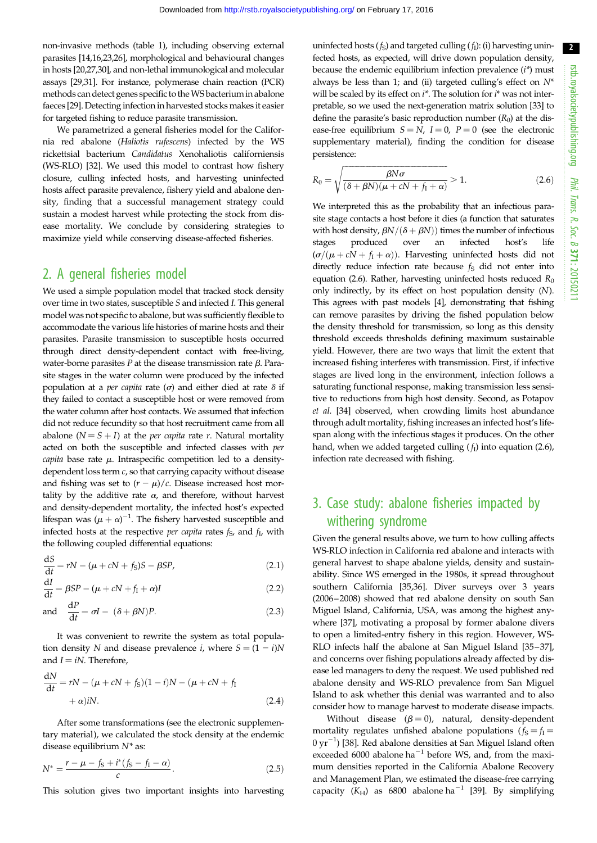2

non-invasive methods [\(table 1](#page-2-0)), including observing external parasites [\[14,16,23](#page-7-0),[26](#page-7-0)], morphological and behavioural changes in hosts [\[20,27,30](#page-7-0)], and non-lethal immunological and molecular assays [\[29,31](#page-7-0)]. For instance, polymerase chain reaction (PCR) methods can detect genes specific to theWS bacterium in abalone faeces [\[29](#page-7-0)]. Detecting infection in harvested stocks makes it easier for targeted fishing to reduce parasite transmission.

We parametrized a general fisheries model for the California red abalone (Haliotis rufescens) infected by the WS rickettsial bacterium Candidatus Xenohaliotis californiensis (WS-RLO) [[32\]](#page-7-0). We used this model to contrast how fishery closure, culling infected hosts, and harvesting uninfected hosts affect parasite prevalence, fishery yield and abalone density, finding that a successful management strategy could sustain a modest harvest while protecting the stock from disease mortality. We conclude by considering strategies to maximize yield while conserving disease-affected fisheries.

### 2. A general fisheries model

We used a simple population model that tracked stock density over time in two states, susceptible S and infected I. This general model was not specific to abalone, but was sufficiently flexible to accommodate the various life histories of marine hosts and their parasites. Parasite transmission to susceptible hosts occurred through direct density-dependent contact with free-living, water-borne parasites  $P$  at the disease transmission rate  $\beta$ . Parasite stages in the water column were produced by the infected population at a *per capita* rate ( $\sigma$ ) and either died at rate  $\delta$  if they failed to contact a susceptible host or were removed from the water column after host contacts. We assumed that infection did not reduce fecundity so that host recruitment came from all abalone  $(N = S + I)$  at the *per capita* rate r. Natural mortality acted on both the susceptible and infected classes with per capita base rate  $\mu$ . Intraspecific competition led to a densitydependent loss term  $c$ , so that carrying capacity without disease and fishing was set to  $(r - \mu)/c$ . Disease increased host mortality by the additive rate  $\alpha$ , and therefore, without harvest and density-dependent mortality, the infected host's expected lifespan was  $(\mu + \alpha)^{-1}$ . The fishery harvested susceptible and infected hosts at the respective *per capita* rates  $f<sub>S</sub>$ , and  $f<sub>I</sub>$ , with the following coupled differential equations:

$$
\frac{\mathrm{d}S}{\mathrm{d}t} = rN - (\mu + cN + f_S)S - \beta SP,\tag{2.1}
$$

dI  $\frac{\partial a}{\partial t} = \beta SP - (\mu + cN + f_I + \alpha)I$  (2.2)

and 
$$
\frac{dP}{dt} = \sigma I - (\delta + \beta N)P.
$$
 (2.3)

It was convenient to rewrite the system as total population density N and disease prevalence *i*, where  $S = (1 - i)N$ and  $I = iN$ . Therefore,

$$
\frac{dN}{dt} = rN - (\mu + cN + f_S)(1 - i)N - (\mu + cN + f_I
$$
  
+  $\alpha$ )*iN*. (2.4)

After some transformations (see the electronic supplementary material), we calculated the stock density at the endemic disease equilibrium  $N^*$  as:

$$
N^* = \frac{r - \mu - f_S + i^*(f_S - f_I - \alpha)}{c}.
$$
 (2.5)

This solution gives two important insights into harvesting

uninfected hosts  $(f_S)$  and targeted culling  $(f_I)$ : (i) harvesting uninfected hosts, as expected, will drive down population density, because the endemic equilibrium infection prevalence  $(i^*)$  must always be less than 1; and (ii) targeted culling's effect on  $N^*$ will be scaled by its effect on  $i^*$ . The solution for  $i^*$  was not interpretable, so we used the next-generation matrix solution [\[33\]](#page-7-0) to define the parasite's basic reproduction number  $(R_0)$  at the disease-free equilibrium  $S = N$ ,  $I = 0$ ,  $P = 0$  (see the electronic supplementary material), finding the condition for disease persistence:

$$
R_0 = \sqrt{\frac{\beta N \sigma}{(\delta + \beta N)(\mu + cN + f_1 + \alpha)}} > 1.
$$
 (2.6)

We interpreted this as the probability that an infectious parasite stage contacts a host before it dies (a function that saturates with host density,  $\beta N/(\delta + \beta N)$  times the number of infectious stages produced over an infected host's life  $(\sigma/(\mu + cN + f_1 + \alpha))$ . Harvesting uninfected hosts did not directly reduce infection rate because  $f<sub>S</sub>$  did not enter into equation (2.6). Rather, harvesting uninfected hosts reduced  $R_0$ only indirectly, by its effect on host population density (N). This agrees with past models [\[4](#page-6-0)], demonstrating that fishing can remove parasites by driving the fished population below the density threshold for transmission, so long as this density threshold exceeds thresholds defining maximum sustainable yield. However, there are two ways that limit the extent that increased fishing interferes with transmission. First, if infective stages are lived long in the environment, infection follows a saturating functional response, making transmission less sensitive to reductions from high host density. Second, as Potapov et al. [\[34](#page-7-0)] observed, when crowding limits host abundance through adult mortality, fishing increases an infected host's lifespan along with the infectious stages it produces. On the other hand, when we added targeted culling  $(f_I)$  into equation (2.6), infection rate decreased with fishing.

# 3. Case study: abalone fisheries impacted by withering syndrome

Given the general results above, we turn to how culling affects WS-RLO infection in California red abalone and interacts with general harvest to shape abalone yields, density and sustainability. Since WS emerged in the 1980s, it spread throughout southern California [\[35,36](#page-7-0)]. Diver surveys over 3 years (2006–2008) showed that red abalone density on south San Miguel Island, California, USA, was among the highest anywhere [\[37](#page-7-0)], motivating a proposal by former abalone divers to open a limited-entry fishery in this region. However, WS-RLO infects half the abalone at San Miguel Island [[35](#page-7-0)–[37\]](#page-7-0), and concerns over fishing populations already affected by disease led managers to deny the request. We used published red abalone density and WS-RLO prevalence from San Miguel Island to ask whether this denial was warranted and to also consider how to manage harvest to moderate disease impacts.

Without disease  $(\beta = 0)$ , natural, density-dependent mortality regulates unfished abalone populations ( $f_S = f_I$  =  $0 \,\mathrm{yr}^{-1}$ ) [\[38](#page-7-0)]. Red abalone densities at San Miguel Island often exceeded 6000 abalone ha<sup>-1</sup> before WS, and, from the maximum densities reported in the California Abalone Recovery and Management Plan, we estimated the disease-free carrying capacity  $(K_H)$  as 6800 abalone ha<sup>-1</sup> [[39\]](#page-7-0). By simplifying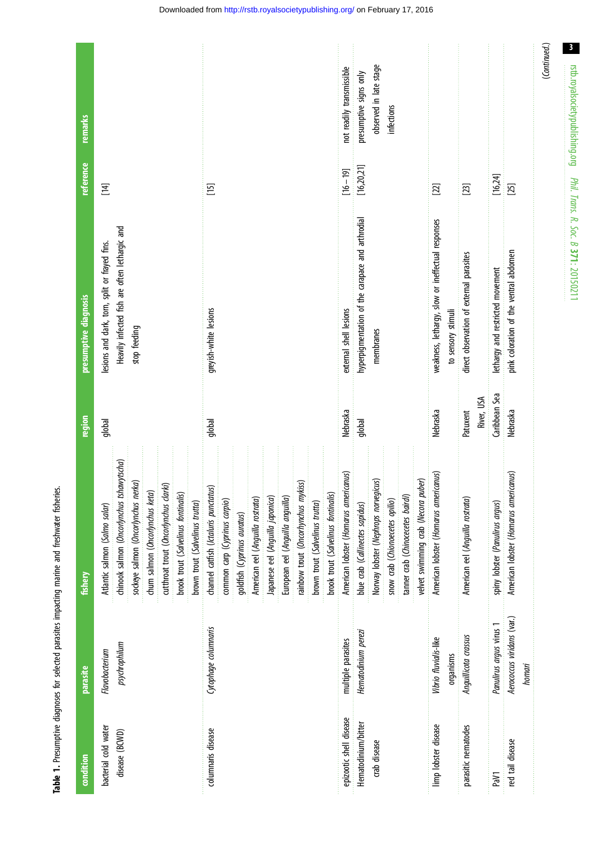<span id="page-2-0"></span>

| remarks               |                                                                                                                                                                                                                                                                         |                                                                                                                                                                                                                                                                                                                                    | (Continued.)<br>observed in late stage<br>not readily transmissible<br>presumptive signs only<br>infections                                                                                                                                                                                                                                                                              |
|-----------------------|-------------------------------------------------------------------------------------------------------------------------------------------------------------------------------------------------------------------------------------------------------------------------|------------------------------------------------------------------------------------------------------------------------------------------------------------------------------------------------------------------------------------------------------------------------------------------------------------------------------------|------------------------------------------------------------------------------------------------------------------------------------------------------------------------------------------------------------------------------------------------------------------------------------------------------------------------------------------------------------------------------------------|
| reference             | $\Xi$                                                                                                                                                                                                                                                                   | $[15]$                                                                                                                                                                                                                                                                                                                             | [16,20,21]<br>$[16 - 19]$<br>[16,24]<br>$[25]$<br>$[23]$<br>$[2]$                                                                                                                                                                                                                                                                                                                        |
| presumptive diagnosis | Heavily infected fish are often lethargic and<br>lesions and dark, torn, split or frayed fins.<br>stop feeding                                                                                                                                                          | greyish-white lesions                                                                                                                                                                                                                                                                                                              | hyperpigmentation of the carapace and arthrodial<br>weakness, lethargy, slow or ineffectual responses<br>pink coloration of the ventral abdomen<br>direct observation of external parasites<br>lethargy and restricted movement<br>external shell lesions<br>to sensory stimuli<br>membranes                                                                                             |
| region                | global                                                                                                                                                                                                                                                                  | global                                                                                                                                                                                                                                                                                                                             | Caribbean Sea<br>River, USA<br>Nebraska<br>Nebraska<br>Nebraska<br>Patuxent<br>global                                                                                                                                                                                                                                                                                                    |
| fishery               | chinook salmon (Oncorlynchus tshawytscha)<br>sockeye salmon (Oncorlynchus nerka)<br>cutthroat trout (Oncorlynchus clarki)<br>chum salmon (Oncorlynchus keta)<br>brook trout (Salvelinus fontinalis)<br>brown trout (Salvelinus trutta)<br>Atlantic salmon (Salmo salar) | rainbow trout (Oncorhynchus mykiss)<br>channel catfish (Ictaluris punctatus)<br>Japanese eel (Anguilla japonica)<br>European eel (Anguilla anguilla)<br>brook trout (Salvelinus fontinalis)<br>American eel (Anguilla rostrata)<br>common carp (Cyprinus carpio)<br>brown trout (Salvelinus trutta)<br>goldfish (Cyprinus auratus) | American lobster (Homarus americanus)<br>American lobster (Homarus americanus)<br>American lobster (Homarus americanus)<br>velvet swimming crab (Necora puber)<br>Norway lobster (Nephrops norvegicus)<br>tanner crab (Chinocecetes bairdi)<br>American eel (Anguilla rostrata)<br>snow crab (Chionoecetes opilio)<br>spiny lobster (Panulirus argus)<br>blue crab (Callinectes sapidus) |
| parasite              | psychrophilum<br>Flavobacterium                                                                                                                                                                                                                                         | Cytophage columnaris                                                                                                                                                                                                                                                                                                               | Aerococcus viridans (var.)<br>Panulirus argus virus 1<br>Hematodinium perezi<br>Anguillicota crassus<br>Vibrio fluvialis-like<br>multiple parasites<br>organisms<br>homari                                                                                                                                                                                                               |
| condition             | bacterial cold water<br>disease (BCWD)                                                                                                                                                                                                                                  | columnaris disease                                                                                                                                                                                                                                                                                                                 | epizootic shell disease<br>Hematodinium/bitter<br>limp lobster disease<br>parasitic nematodes<br>red tail disease<br>crab disease<br>PaV1                                                                                                                                                                                                                                                |

Table 1. Presumptive diagnoses for selected parasites impacting marine and freshwater fisheries. Table 1. Presumptive diagnoses for selected parasites impacting marine and freshwater fisheries.

 $\overline{\mathbf{3}}$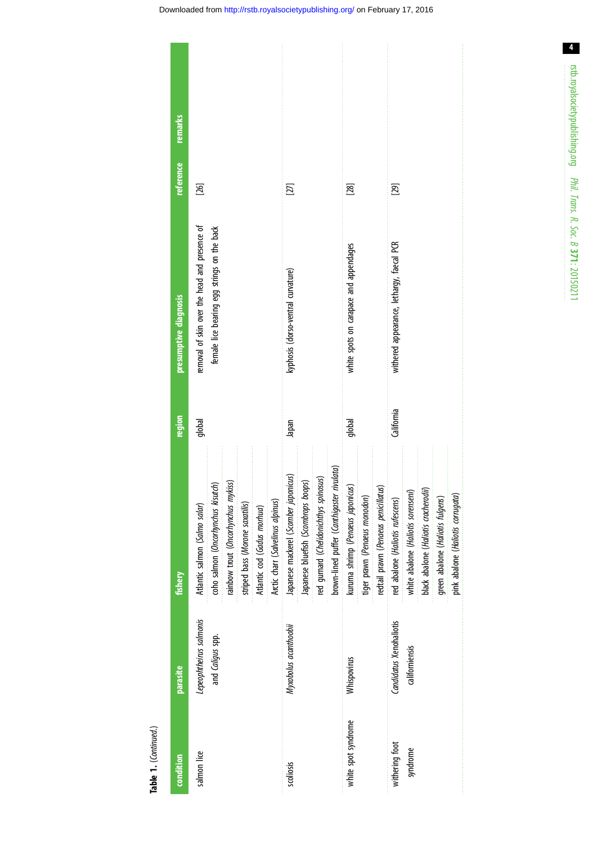| condition                  | parasite                                    | fishery                                                                                                                                                                                                           | region     | presumptive diagnosis                                                                        | <b>reference</b> | remarks |
|----------------------------|---------------------------------------------|-------------------------------------------------------------------------------------------------------------------------------------------------------------------------------------------------------------------|------------|----------------------------------------------------------------------------------------------|------------------|---------|
| salmon lice                | Lepeophtheirus salmonis<br>and Caligus spp. | rainbow trout (Oncorhynchus mykiss)<br>coho salmon (Oncorhynchus kisutch)<br>Arctic charr (Salvelinus alpinus)<br>Atlantic salmon (Salmo salar)<br>striped bass (Morone saxatilis)<br>Atlantic cod (Gadus morhua) | global     | removal of skin over the head and presence of<br>female lice bearing egg strings on the back | [26]             |         |
| scollosis                  | Myxobolus acanthoobii                       | brown-lined puffer (Canthigaster rivulata)<br>Japanese mackerel (Scomber japonicus)<br>red gurnard (Chelidonichthys spinosus)<br>Japanese bluefish (Scombrops boops)                                              | Japan      | kyphosis (dorso-ventral curvature)                                                           | $[27]$           |         |
| white spot syndrome        | Whispovirus                                 | kuruma shrimp (Penaeus japonicus)<br>redtail prawn (Penaeus penicillatus)<br>tiger prawn (Penaeus monodon)                                                                                                        | global     | white spots on carapace and appendages                                                       | $[28]$           |         |
| withering foot<br>syndrome | Candidatus Xenohaliotis<br>californiensis   | black abalone (Haliotis cracherodii)<br>white abalone (Haliotis sorenseni)<br>pink abalone (Haliotis corrugata)<br>red abalone (Haliotis rufescens)<br>green abalone (Haliotis fulgens)                           | California | withered appearance, lethargy, faecal PCR                                                    | $[29]$           |         |

Table 1. (Continued.) Table 1. (Continued.)

 $\overline{4}$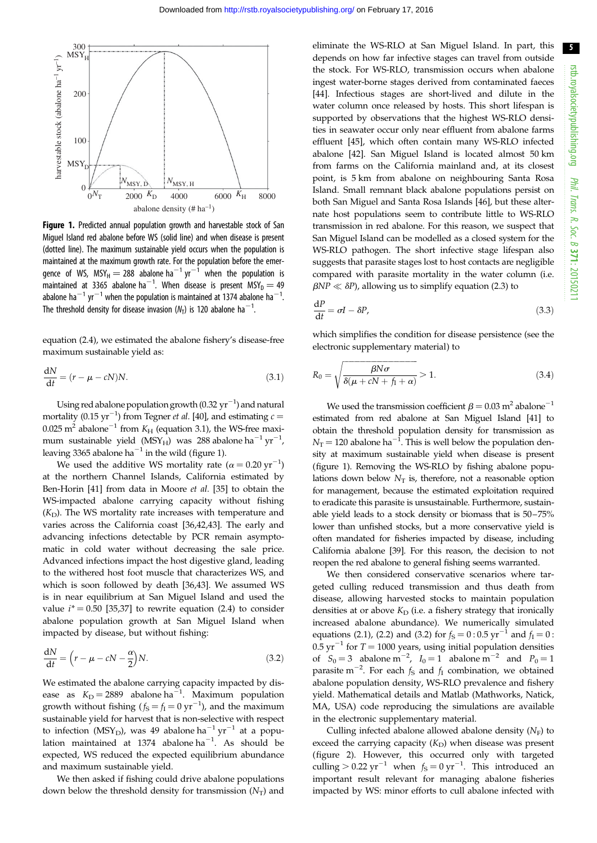<span id="page-4-0"></span>

Figure 1. Predicted annual population growth and harvestable stock of San Miguel Island red abalone before WS (solid line) and when disease is present (dotted line). The maximum sustainable yield occurs when the population is maintained at the maximum growth rate. For the population before the emergence of WS,  $MSY_H = 288$  abalone ha<sup>-1</sup> yr<sup>-1</sup> when the population is maintained at 3365 abalone $ha^{-1}$ . When disease is present  $MSY_D = 49$ abalone ha<sup> $-1$ </sup> yr<sup> $-1$ </sup> when the population is maintained at 1374 abalone ha<sup>-1</sup>. . The threshold density for disease invasion ( $N_T$ ) is 120 abalone ha<sup>-1</sup>. .

equation (2.4), we estimated the abalone fishery's disease-free maximum sustainable yield as:

$$
\frac{dN}{dt} = (r - \mu - cN)N.
$$
\n(3.1)

Using red abalone population growth (0.32  $\rm{yr}^{-1}$ ) and natural mortality (0.15  $\text{yr}^{-1}$ ) from Tegner *et al.* [[40](#page-7-0)], and estimating  $c =$ 0.025  $m^2$  abalone<sup>-1</sup> from  $K_H$  (equation 3.1), the WS-free maximum sustainable yield (MSY<sub>H</sub>) was 288 abalone $\rm{ha}^{-1} \, \rm{yr}^{-1}$ , leaving 3365 abalone ha $^{-1}$  in the wild (figure 1).

We used the additive WS mortality rate  $(\alpha = 0.20 \text{ yr}^{-1})$ at the northern Channel Islands, California estimated by Ben-Horin [\[41](#page-7-0)] from data in Moore et al. [\[35](#page-7-0)] to obtain the WS-impacted abalone carrying capacity without fishing  $(K_D)$ . The WS mortality rate increases with temperature and varies across the California coast [[36,42,43\]](#page-7-0). The early and advancing infections detectable by PCR remain asymptomatic in cold water without decreasing the sale price. Advanced infections impact the host digestive gland, leading to the withered host foot muscle that characterizes WS, and which is soon followed by death [[36,43](#page-7-0)]. We assumed WS is in near equilibrium at San Miguel Island and used the value  $i^* = 0.50$  [[35,37\]](#page-7-0) to rewrite equation (2.4) to consider abalone population growth at San Miguel Island when impacted by disease, but without fishing:

$$
\frac{dN}{dt} = \left(r - \mu - cN - \frac{\alpha}{2}\right)N.\tag{3.2}
$$

We estimated the abalone carrying capacity impacted by disease as  $K_{\rm D} = 2889$  abalone ha<sup>-1</sup>. Maximum population growth without fishing  $(f_S = f_I = 0 \text{ yr}^{-1})$ , and the maximum sustainable yield for harvest that is non-selective with respect to infection (MSY<sub>D</sub>), was 49 abalone ha<sup>-1</sup> yr<sup>-1</sup> at a population maintained at 1374 abalone  $ha^{-1}$ . As should be expected, WS reduced the expected equilibrium abundance and maximum sustainable yield.

We then asked if fishing could drive abalone populations down below the threshold density for transmission  $(N_T)$  and eliminate the WS-RLO at San Miguel Island. In part, this depends on how far infective stages can travel from outside the stock. For WS-RLO, transmission occurs when abalone ingest water-borne stages derived from contaminated faeces [[44\]](#page-7-0). Infectious stages are short-lived and dilute in the water column once released by hosts. This short lifespan is supported by observations that the highest WS-RLO densities in seawater occur only near effluent from abalone farms effluent [[45\]](#page-7-0), which often contain many WS-RLO infected abalone [[42\]](#page-7-0). San Miguel Island is located almost 50 km from farms on the California mainland and, at its closest point, is 5 km from abalone on neighbouring Santa Rosa Island. Small remnant black abalone populations persist on both San Miguel and Santa Rosa Islands [\[46\]](#page-7-0), but these alternate host populations seem to contribute little to WS-RLO transmission in red abalone. For this reason, we suspect that San Miguel Island can be modelled as a closed system for the WS-RLO pathogen. The short infective stage lifespan also suggests that parasite stages lost to host contacts are negligible compared with parasite mortality in the water column (i.e.  $\beta NP \ll \delta P$ ), allowing us to simplify equation (2.3) to

$$
\frac{\text{d}P}{\text{d}t} = \sigma I - \delta P,\tag{3.3}
$$

which simplifies the condition for disease persistence (see the electronic supplementary material) to

$$
R_0 = \sqrt{\frac{\beta N \sigma}{\delta(\mu + cN + f_1 + \alpha)}} > 1.
$$
\n(3.4)

We used the transmission coefficient  $\beta = 0.03$  m<sup>2</sup> abalone<sup>-1</sup> estimated from red abalone at San Miguel Island [\[41\]](#page-7-0) to obtain the threshold population density for transmission as  $N_T = 120$  abalone ha<sup>-1</sup>. This is well below the population density at maximum sustainable yield when disease is present (figure 1). Removing the WS-RLO by fishing abalone populations down below  $N<sub>T</sub>$  is, therefore, not a reasonable option for management, because the estimated exploitation required to eradicate this parasite is unsustainable. Furthermore, sustainable yield leads to a stock density or biomass that is 50–75% lower than unfished stocks, but a more conservative yield is often mandated for fisheries impacted by disease, including California abalone [\[39\]](#page-7-0). For this reason, the decision to not reopen the red abalone to general fishing seems warranted.

We then considered conservative scenarios where targeted culling reduced transmission and thus death from disease, allowing harvested stocks to maintain population densities at or above  $K_D$  (i.e. a fishery strategy that ironically increased abalone abundance). We numerically simulated equations (2.1), (2.2) and (3.2) for  $f_S = 0.05 \text{ yr}^{-1}$  and  $f_I = 0$ : 0.5  $yr^{-1}$  for  $T = 1000$  years, using initial population densities of  $S_0 = 3$  abalone m<sup>-2</sup>,  $I_0 = 1$  abalone m<sup>-2</sup> and  $P_0 = 1$ parasite m<sup>-2</sup>. For each  $f_S$  and  $f_I$  combination, we obtained abalone population density, WS-RLO prevalence and fishery yield. Mathematical details and Matlab (Mathworks, Natick, MA, USA) code reproducing the simulations are available in the electronic supplementary material.

Culling infected abalone allowed abalone density  $(N_F)$  to exceed the carrying capacity  $(K_D)$  when disease was present ([figure 2](#page-5-0)). However, this occurred only with targeted culling  $> 0.22 \text{ yr}^{-1}$  when  $f_S = 0 \text{ yr}^{-1}$ . This introduced an important result relevant for managing abalone fisheries impacted by WS: minor efforts to cull abalone infected with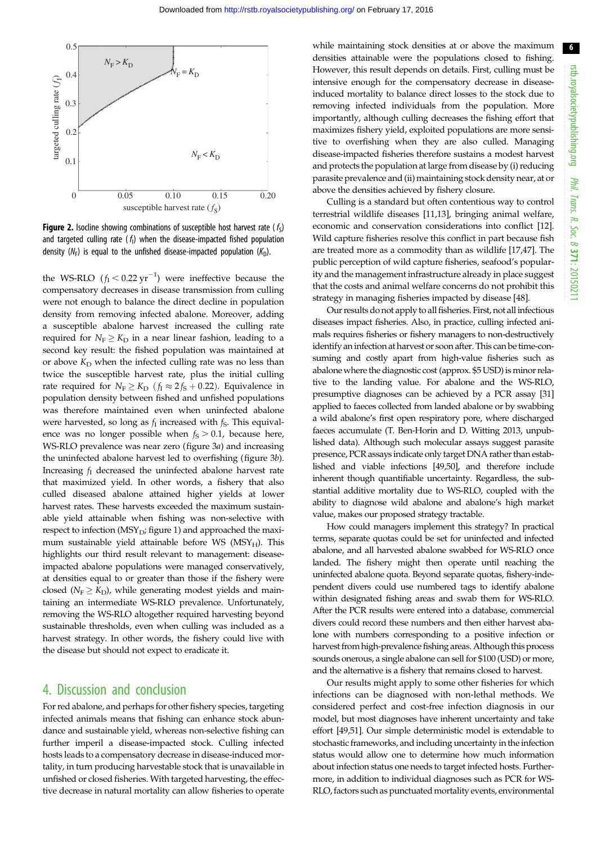6

<span id="page-5-0"></span>

**Figure 2.** Isocline showing combinations of susceptible host harvest rate ( $f_S$ ) and targeted culling rate  $(f_1)$  when the disease-impacted fished population density ( $N_F$ ) is equal to the unfished disease-impacted population ( $K_D$ ).

the WS-RLO  $(f_I < 0.22 \text{ yr}^{-1})$  were ineffective because the compensatory decreases in disease transmission from culling were not enough to balance the direct decline in population density from removing infected abalone. Moreover, adding a susceptible abalone harvest increased the culling rate required for  $N_F \geq K_D$  in a near linear fashion, leading to a second key result: the fished population was maintained at or above  $K_D$  when the infected culling rate was no less than twice the susceptible harvest rate, plus the initial culling rate required for  $N_F \ge K_D$  ( $f_I \approx 2f_S + 0.22$ ). Equivalence in population density between fished and unfished populations was therefore maintained even when uninfected abalone were harvested, so long as  $f_I$  increased with  $f_S$ . This equivalence was no longer possible when  $f_s > 0.1$ , because here, WS-RLO prevalence was near zero [\(figure 3](#page-6-0)a) and increasing the uninfected abalone harvest led to overfishing ([figure 3](#page-6-0)b). Increasing  $f_I$  decreased the uninfected abalone harvest rate that maximized yield. In other words, a fishery that also culled diseased abalone attained higher yields at lower harvest rates. These harvests exceeded the maximum sustainable yield attainable when fishing was non-selective with respect to infection (MSY<sub>D</sub>; [figure 1\)](#page-4-0) and approached the maximum sustainable yield attainable before WS ( $MSY_H$ ). This highlights our third result relevant to management: diseaseimpacted abalone populations were managed conservatively, at densities equal to or greater than those if the fishery were closed ( $N_F \geq K_D$ ), while generating modest yields and maintaining an intermediate WS-RLO prevalence. Unfortunately, removing the WS-RLO altogether required harvesting beyond sustainable thresholds, even when culling was included as a harvest strategy. In other words, the fishery could live with the disease but should not expect to eradicate it.

### 4. Discussion and conclusion

For red abalone, and perhaps for other fishery species, targeting infected animals means that fishing can enhance stock abundance and sustainable yield, whereas non-selective fishing can further imperil a disease-impacted stock. Culling infected hosts leads to a compensatory decrease in disease-induced mortality, in turn producing harvestable stock that is unavailable in unfished or closed fisheries. With targeted harvesting, the effective decrease in natural mortality can allow fisheries to operate while maintaining stock densities at or above the maximum densities attainable were the populations closed to fishing. However, this result depends on details. First, culling must be intensive enough for the compensatory decrease in diseaseinduced mortality to balance direct losses to the stock due to removing infected individuals from the population. More importantly, although culling decreases the fishing effort that maximizes fishery yield, exploited populations are more sensitive to overfishing when they are also culled. Managing disease-impacted fisheries therefore sustains a modest harvest and protects the population at large from disease by (i) reducing parasite prevalence and (ii) maintaining stock density near, at or above the densities achieved by fishery closure.

Culling is a standard but often contentious way to control terrestrial wildlife diseases [\[11](#page-6-0)[,13](#page-7-0)], bringing animal welfare, economic and conservation considerations into conflict [[12\]](#page-6-0). Wild capture fisheries resolve this conflict in part because fish are treated more as a commodity than as wildlife [\[17,47](#page-7-0)]. The public perception of wild capture fisheries, seafood's popularity and the management infrastructure already in place suggest that the costs and animal welfare concerns do not prohibit this strategy in managing fisheries impacted by disease [[48\]](#page-7-0).

Our results do not apply to all fisheries. First, not all infectious diseases impact fisheries. Also, in practice, culling infected animals requires fisheries or fishery managers to non-destructively identify an infection at harvest or soon after. This can be time-consuming and costly apart from high-value fisheries such as abalonewhere the diagnostic cost (approx. \$5 USD) is minor relative to the landing value. For abalone and the WS-RLO, presumptive diagnoses can be achieved by a PCR assay [\[31\]](#page-7-0) applied to faeces collected from landed abalone or by swabbing a wild abalone's first open respiratory pore, where discharged faeces accumulate (T. Ben-Horin and D. Witting 2013, unpublished data). Although such molecular assays suggest parasite presence, PCR assays indicate only target DNA rather than established and viable infections [[49,50\]](#page-7-0), and therefore include inherent though quantifiable uncertainty. Regardless, the substantial additive mortality due to WS-RLO, coupled with the ability to diagnose wild abalone and abalone's high market value, makes our proposed strategy tractable.

How could managers implement this strategy? In practical terms, separate quotas could be set for uninfected and infected abalone, and all harvested abalone swabbed for WS-RLO once landed. The fishery might then operate until reaching the uninfected abalone quota. Beyond separate quotas, fishery-independent divers could use numbered tags to identify abalone within designated fishing areas and swab them for WS-RLO. After the PCR results were entered into a database, commercial divers could record these numbers and then either harvest abalone with numbers corresponding to a positive infection or harvest from high-prevalence fishing areas. Although this process sounds onerous, a single abalone can sell for \$100 (USD) or more, and the alternative is a fishery that remains closed to harvest.

Our results might apply to some other fisheries for which infections can be diagnosed with non-lethal methods. We considered perfect and cost-free infection diagnosis in our model, but most diagnoses have inherent uncertainty and take effort [\[49,51\]](#page-7-0). Our simple deterministic model is extendable to stochastic frameworks, and including uncertainty in the infection status would allow one to determine how much information about infection status one needs to target infected hosts. Furthermore, in addition to individual diagnoses such as PCR for WS-RLO, factors such as punctuated mortality events, environmental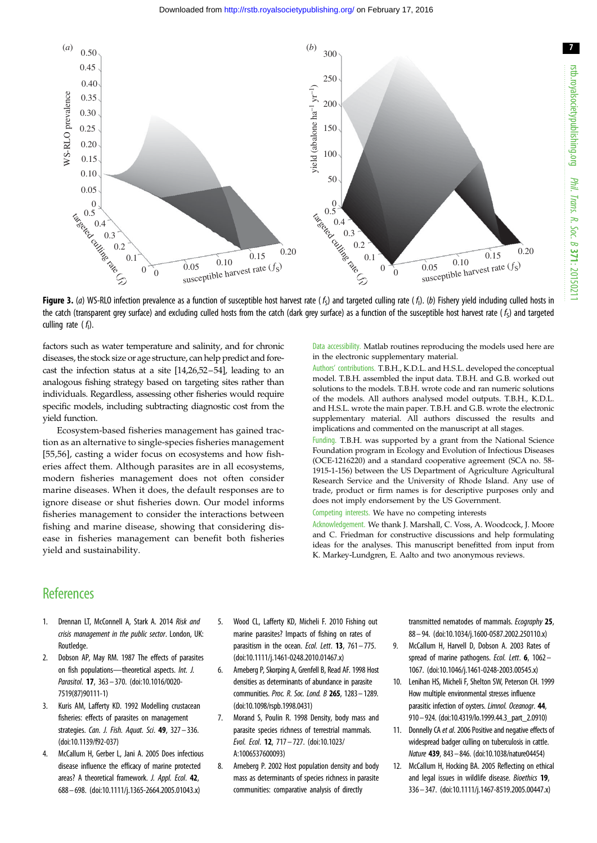<span id="page-6-0"></span>

**Figure 3.** (a) WS-RLO infection prevalence as a function of susceptible host harvest rate (*f*<sub>S</sub>) and targeted culling rate (*f*<sub>I</sub>). (b) Fishery yield including culled hosts in the catch (transparent grey surface) and excluding culled hosts from the catch (dark grey surface) as a function of the susceptible host harvest rate  $(f<sub>c</sub>)$  and targeted culling rate  $(f<sub>1</sub>)$ .

factors such as water temperature and salinity, and for chronic diseases, the stock size or age structure, can help predict and forecast the infection status at a site [\[14,26,52](#page-7-0)–[54\]](#page-7-0), leading to an analogous fishing strategy based on targeting sites rather than individuals. Regardless, assessing other fisheries would require specific models, including subtracting diagnostic cost from the yield function.

Ecosystem-based fisheries management has gained traction as an alternative to single-species fisheries management [[55,56](#page-7-0)], casting a wider focus on ecosystems and how fisheries affect them. Although parasites are in all ecosystems, modern fisheries management does not often consider marine diseases. When it does, the default responses are to ignore disease or shut fisheries down. Our model informs fisheries management to consider the interactions between fishing and marine disease, showing that considering disease in fisheries management can benefit both fisheries yield and sustainability.

Data accessibility. Matlab routines reproducing the models used here are in the electronic supplementary material.

Authors' contributions. T.B.H., K.D.L. and H.S.L. developed the conceptual model. T.B.H. assembled the input data. T.B.H. and G.B. worked out solutions to the models. T.B.H. wrote code and ran numeric solutions of the models. All authors analysed model outputs. T.B.H., K.D.L. and H.S.L. wrote the main paper. T.B.H. and G.B. wrote the electronic supplementary material. All authors discussed the results and implications and commented on the manuscript at all stages.

Funding. T.B.H. was supported by a grant from the National Science Foundation program in Ecology and Evolution of Infectious Diseases (OCE-1216220) and a standard cooperative agreement (SCA no. 58- 1915-1-156) between the US Department of Agriculture Agricultural Research Service and the University of Rhode Island. Any use of trade, product or firm names is for descriptive purposes only and does not imply endorsement by the US Government.

Competing interests. We have no competing interests

Acknowledgement. We thank J. Marshall, C. Voss, A. Woodcock, J. Moore and C. Friedman for constructive discussions and help formulating ideas for the analyses. This manuscript benefitted from input from K. Markey-Lundgren, E. Aalto and two anonymous reviews.

## **References**

- 1. Drennan LT, McConnell A, Stark A, 2014 Risk and crisis management in the public sector. London, UK: Routledge.
- 2. Dobson AP, May RM. 1987 The effects of parasites on fish populations—theoretical aspects. Int. J. Parasitol. 17, 363 – 370. ([doi:10.1016/0020-](http://dx.doi.org/10.1016/0020-7519(87)90111-1) [7519\(87\)90111-1\)](http://dx.doi.org/10.1016/0020-7519(87)90111-1)
- 3. Kuris AM, Lafferty KD. 1992 Modelling crustacean fisheries: effects of parasites on management strategies. Can. J. Fish. Aquat. Sci.  $49$ . 327 - 336. [\(doi:10.1139/f92-037](http://dx.doi.org/10.1139/f92-037))
- 4. McCallum H, Gerber L, Jani A. 2005 Does infectious disease influence the efficacy of marine protected areas? A theoretical framework. J. Appl. Ecol. 42, 688– 698. ([doi:10.1111/j.1365-2664.2005.01043.x](http://dx.doi.org/10.1111/j.1365-2664.2005.01043.x))
- 5. Wood CL, Lafferty KD, Micheli F. 2010 Fishing out marine parasites? Impacts of fishing on rates of parasitism in the ocean. Ecol. Lett. **13**, 761–775. [\(doi:10.1111/j.1461-0248.2010.01467.x\)](http://dx.doi.org/10.1111/j.1461-0248.2010.01467.x)
- 6. Arneberg P, Skorping A, Grenfell B, Read AF. 1998 Host densities as determinants of abundance in parasite communities. Proc. R. Soc. Lond. B 265, 1283–1289. [\(doi:10.1098/rspb.1998.0431](http://dx.doi.org/10.1098/rspb.1998.0431))
- 7. Morand S, Poulin R. 1998 Density, body mass and parasite species richness of terrestrial mammals. Evol. Ecol. 12, 717 – 727. [\(doi:10.1023/](http://dx.doi.org/10.1023/A:1006537600093) [A:1006537600093](http://dx.doi.org/10.1023/A:1006537600093))
- 8. Arneberg P. 2002 Host population density and body mass as determinants of species richness in parasite communities: comparative analysis of directly

transmitted nematodes of mammals. Ecography 25, 88– 94. [\(doi:10.1034/j.1600-0587.2002.250110.x\)](http://dx.doi.org/10.1034/j.1600-0587.2002.250110.x)

- 9. McCallum H, Harvell D, Dobson A. 2003 Rates of spread of marine pathogens. Ecol. Lett. 6, 1062-1067. [\(doi:10.1046/j.1461-0248-2003.00545.x\)](http://dx.doi.org/10.1046/j.1461-0248-2003.00545.x)
- 10. Lenihan HS, Micheli F, Shelton SW, Peterson CH. 1999 How multiple environmental stresses influence parasitic infection of oysters. Limnol. Oceanoar. 44, 910–924. ([doi:10.4319/lo.1999.44.3\\_part\\_2.0910](http://dx.doi.org/10.4319/lo.1999.44.3_part_2.0910))
- 11. Donnelly CA et al. 2006 Positive and negative effects of widespread badger culling on tuberculosis in cattle. Nature 439, 843–846. [\(doi:10.1038/nature04454](http://dx.doi.org/10.1038/nature04454))
- 12. McCallum H, Hocking BA. 2005 Reflecting on ethical and legal issues in wildlife disease. Bioethics 19, 336– 347. [\(doi:10.1111/j.1467-8519.2005.00447.x\)](http://dx.doi.org/10.1111/j.1467-8519.2005.00447.x)

7